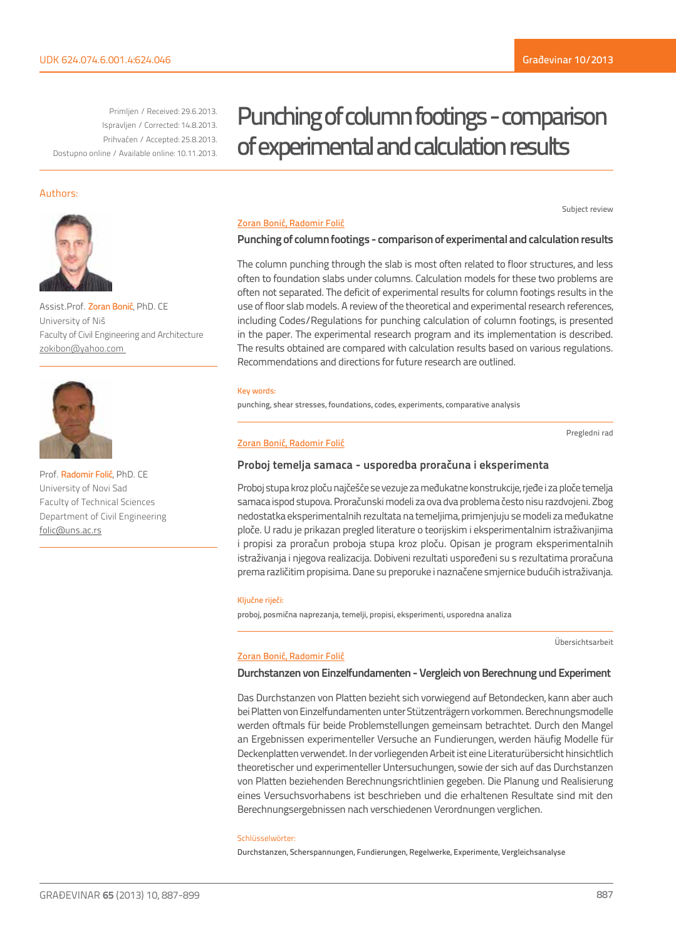Subject review

Primljen / Received: 29.6.2013. Ispravljen / Corrected: 14.8.2013. Prihvaćen / Accepted: 25.8.2013. Dostupno online / Available online: 10.11.2013.

# Punching of column footings - comparison of experimental and calculation results

### Authors:



Assist.Prof. Zoran Bonić, PhD. CE University of Niš Faculty of Civil Engineering and Architecture zokibon@yahoo.com



Prof. Radomir Folić, PhD. CE University of Novi Sad Faculty of Technical Sciences Department of Civil Engineering folic@uns.ac.rs

### Zoran Bonić, Radomir Folić

### **Punching of column footings - comparison of experimental and calculation results**

The column punching through the slab is most often related to floor structures, and less often to foundation slabs under columns. Calculation models for these two problems are often not separated. The deficit of experimental results for column footings results in the use of floor slab models. A review of the theoretical and experimental research references, including Codes/Regulations for punching calculation of column footings, is presented in the paper. The experimental research program and its implementation is described. The results obtained are compared with calculation results based on various regulations. Recommendations and directions for future research are outlined.

#### Key words:

punching, shear stresses, foundations, codes, experiments, comparative analysis

#### Zoran Bonić, Radomir Folić

Pregledni rad

### **Proboj temelja samaca - usporedba proračuna i eksperimenta**

Proboj stupa kroz ploču najčešće se vezuje za međukatne konstrukcije, rjeđe i za ploče temelja samaca ispod stupova. Proračunski modeli za ova dva problema često nisu razdvojeni. Zbog nedostatka eksperimentalnih rezultata na temeljima, primjenjuju se modeli za međukatne ploče. U radu je prikazan pregled literature o teorijskim i eksperimentalnim istraživanjima i propisi za proračun proboja stupa kroz ploču. Opisan je program eksperimentalnih istraživanja i njegova realizacija. Dobiveni rezultati uspoređeni su s rezultatima proračuna prema različitim propisima. Dane su preporuke i naznačene smjernice budućih istraživanja.

#### Ključne riječi:

proboj, posmična naprezanja, temelji, propisi, eksperimenti, usporedna analiza

Übersichtsarbeit

### Zoran Bonić, Radomir Folić

### **Durchstanzen von Einzelfundamenten - Vergleich von Berechnung und Experiment**

Das Durchstanzen von Platten bezieht sich vorwiegend auf Betondecken, kann aber auch bei Platten von Einzelfundamenten unter Stützenträgern vorkommen. Berechnungsmodelle werden oftmals für beide Problemstellungen gemeinsam betrachtet. Durch den Mangel an Ergebnissen experimenteller Versuche an Fundierungen, werden häufig Modelle für Deckenplatten verwendet. In der vorliegenden Arbeit ist eine Literaturübersicht hinsichtlich theoretischer und experimenteller Untersuchungen, sowie der sich auf das Durchstanzen von Platten beziehenden Berechnungsrichtlinien gegeben. Die Planung und Realisierung eines Versuchsvorhabens ist beschrieben und die erhaltenen Resultate sind mit den Berechnungsergebnissen nach verschiedenen Verordnungen verglichen.

#### Schlüsselwörter:

Durchstanzen, Scherspannungen, Fundierungen, Regelwerke, Experimente, Vergleichsanalyse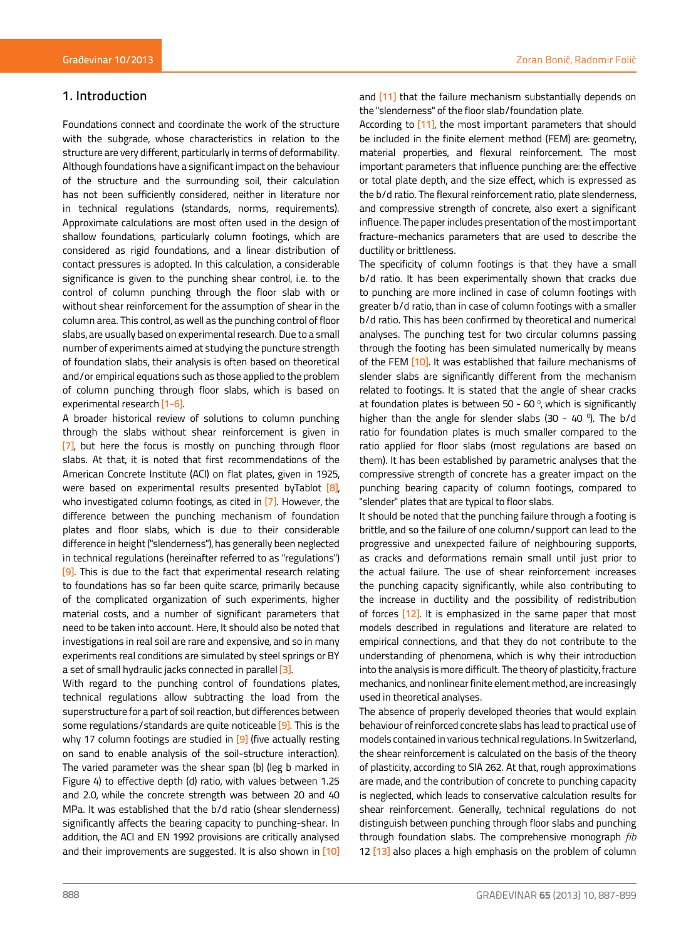# Zoran Bonić, Radomir Folić

# 1. Introduction

Foundations connect and coordinate the work of the structure with the subgrade, whose characteristics in relation to the structure are very different, particularly in terms of deformability. Although foundations have a significant impact on the behaviour of the structure and the surrounding soil, their calculation has not been sufficiently considered, neither in literature nor in technical regulations (standards, norms, requirements). Approximate calculations are most often used in the design of shallow foundations, particularly column footings, which are considered as rigid foundations, and a linear distribution of contact pressures is adopted. In this calculation, a considerable significance is given to the punching shear control, i.e. to the control of column punching through the floor slab with or without shear reinforcement for the assumption of shear in the column area. This control, as well as the punching control of floor slabs, are usually based on experimental research. Due to a small number of experiments aimed at studying the puncture strength of foundation slabs, their analysis is often based on theoretical and/or empirical equations such as those applied to the problem of column punching through floor slabs, which is based on experimental research [1-6].

A broader historical review of solutions to column punching through the slabs without shear reinforcement is given in [7], but here the focus is mostly on punching through floor slabs. At that, it is noted that first recommendations of the American Concrete Institute (ACI) on flat plates, given in 1925, were based on experimental results presented byTablot [8], who investigated column footings, as cited in [7]. However, the difference between the punching mechanism of foundation plates and floor slabs, which is due to their considerable difference in height ("slenderness"), has generally been neglected in technical regulations (hereinafter referred to as "regulations") [9]. This is due to the fact that experimental research relating to foundations has so far been quite scarce, primarily because of the complicated organization of such experiments, higher material costs, and a number of significant parameters that need to be taken into account. Here, It should also be noted that investigations in real soil are rare and expensive, and so in many experiments real conditions are simulated by steel springs or BY a set of small hydraulic jacks connected in parallel [3].

With regard to the punching control of foundations plates, technical regulations allow subtracting the load from the superstructure for a part of soil reaction, but differences between some regulations/standards are quite noticeable [9]. This is the why 17 column footings are studied in [9] (five actually resting on sand to enable analysis of the soil-structure interaction). The varied parameter was the shear span (b) (leg b marked in Figure 4) to effective depth (d) ratio, with values between 1.25 and 2.0, while the concrete strength was between 20 and 40 MPa. It was established that the b/d ratio (shear slenderness) significantly affects the bearing capacity to punching-shear. In addition, the ACI and EN 1992 provisions are critically analysed and their improvements are suggested. It is also shown in [10]

According to [11], the most important parameters that should be included in the finite element method (FEM) are: geometry, material properties, and flexural reinforcement. The most important parameters that influence punching are: the effective or total plate depth, and the size effect, which is expressed as the b/d ratio. The flexural reinforcement ratio, plate slenderness, and compressive strength of concrete, also exert a significant influence. The paper includes presentation of the most important fracture-mechanics parameters that are used to describe the ductility or brittleness.

The specificity of column footings is that they have a small b/d ratio. It has been experimentally shown that cracks due to punching are more inclined in case of column footings with greater b/d ratio, than in case of column footings with a smaller b/d ratio. This has been confirmed by theoretical and numerical analyses. The punching test for two circular columns passing through the footing has been simulated numerically by means of the FEM <a>[10]</a>. It was established that failure mechanisms of slender slabs are significantly different from the mechanism related to footings. It is stated that the angle of shear cracks at foundation plates is between 50 - 60 $\degree$ , which is significantly higher than the angle for slender slabs (30 - 40 $\degree$ ). The b/d ratio for foundation plates is much smaller compared to the ratio applied for floor slabs (most regulations are based on them). It has been established by parametric analyses that the compressive strength of concrete has a greater impact on the punching bearing capacity of column footings, compared to "slender" plates that are typical to floor slabs.

It should be noted that the punching failure through a footing is brittle, and so the failure of one column/support can lead to the progressive and unexpected failure of neighbouring supports, as cracks and deformations remain small until just prior to the actual failure. The use of shear reinforcement increases the punching capacity significantly, while also contributing to the increase in ductility and the possibility of redistribution of forces [12]. It is emphasized in the same paper that most models described in regulations and literature are related to empirical connections, and that they do not contribute to the understanding of phenomena, which is why their introduction into the analysis is more difficult. The theory of plasticity, fracture mechanics, and nonlinear finite element method, are increasingly used in theoretical analyses.

The absence of properly developed theories that would explain behaviour of reinforced concrete slabs has lead to practical use of models contained in various technical regulations. In Switzerland, the shear reinforcement is calculated on the basis of the theory of plasticity, according to SIA 262. At that, rough approximations are made, and the contribution of concrete to punching capacity is neglected, which leads to conservative calculation results for shear reinforcement. Generally, technical regulations do not distinguish between punching through floor slabs and punching through foundation slabs. The comprehensive monograph *fib*  12 [13] also places a high emphasis on the problem of column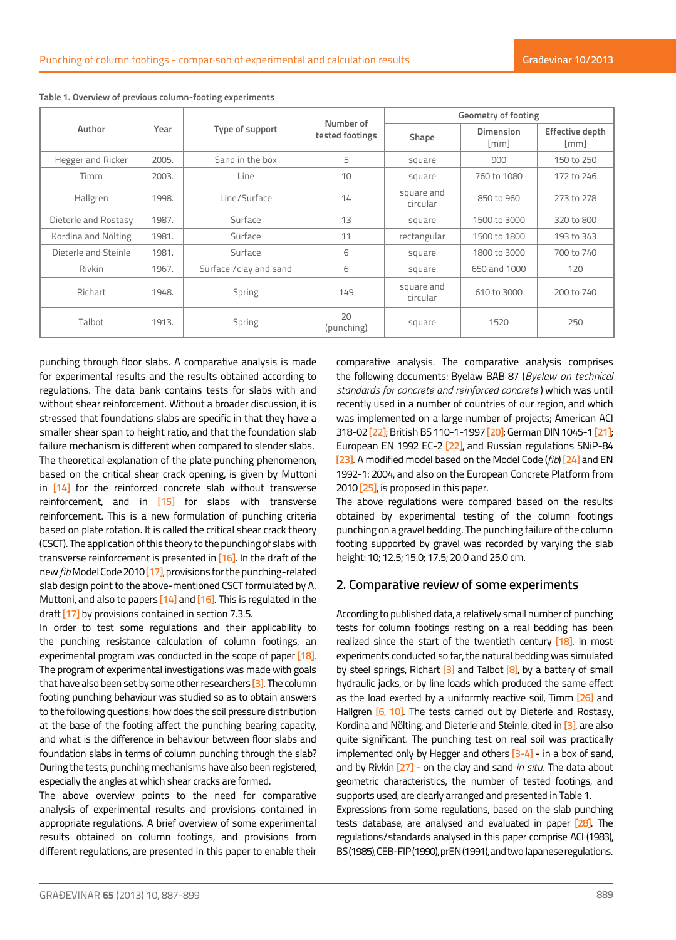|                      |       |                         | Number of        |                        | <b>Geometry of footing</b>             |                                       |  |  |  |
|----------------------|-------|-------------------------|------------------|------------------------|----------------------------------------|---------------------------------------|--|--|--|
| Author               | Year  | Type of support         | tested footings  | Shape                  | <b>Dimension</b><br>$\lceil mm \rceil$ | Effective depth<br>$\lceil mm \rceil$ |  |  |  |
| Hegger and Ricker    | 2005. | Sand in the box         | 5                | square                 | 900                                    | 150 to 250                            |  |  |  |
| <b>Timm</b>          | 2003. | Line                    | 10               | square                 | 760 to 1080                            | 172 to 246                            |  |  |  |
| Hallgren             | 1998. | Line/Surface            | 14               | square and<br>circular | 850 to 960                             | 273 to 278                            |  |  |  |
| Dieterle and Rostasy | 1987. | Surface                 | 13               | square                 | 1500 to 3000                           | 320 to 800                            |  |  |  |
| Kordina and Nölting  | 1981. | Surface                 | 11               | rectangular            | 1500 to 1800                           | 193 to 343                            |  |  |  |
| Dieterle and Steinle | 1981. | Surface                 | 6                | square                 | 1800 to 3000                           | 700 to 740                            |  |  |  |
| Rivkin               | 1967. | Surface / clay and sand | 6                | square                 | 650 and 1000                           | 120                                   |  |  |  |
| Richart              | 1948. | Spring                  | 149              | square and<br>circular | 610 to 3000                            | 200 to 740                            |  |  |  |
| Talbot               | 1913. | Spring                  | 20<br>(punching) | square                 | 1520                                   | 250                                   |  |  |  |

**Table 1. Overview of previous column-footing experiments**

punching through floor slabs. A comparative analysis is made for experimental results and the results obtained according to regulations. The data bank contains tests for slabs with and without shear reinforcement. Without a broader discussion, it is stressed that foundations slabs are specific in that they have a smaller shear span to height ratio, and that the foundation slab failure mechanism is different when compared to slender slabs. The theoretical explanation of the plate punching phenomenon, based on the critical shear crack opening, is given by Muttoni in [14] for the reinforced concrete slab without transverse reinforcement, and in [15] for slabs with transverse reinforcement. This is a new formulation of punching criteria based on plate rotation. It is called the critical shear crack theory (CSCT). The application of this theory to the punching of slabs with transverse reinforcement is presented in [16]. In the draft of the new *fib* Model Code 2010 [17], provisions for the punching-related slab design point to the above-mentioned CSCT formulated by A. Muttoni, and also to papers [14] and [16]. This is regulated in the draft [17] by provisions contained in section 7.3.5.

In order to test some regulations and their applicability to the punching resistance calculation of column footings, an experimental program was conducted in the scope of paper [18]. The program of experimental investigations was made with goals that have also been set by some other researchers [3]. The column footing punching behaviour was studied so as to obtain answers to the following questions: how does the soil pressure distribution at the base of the footing affect the punching bearing capacity, and what is the difference in behaviour between floor slabs and foundation slabs in terms of column punching through the slab? During the tests, punching mechanisms have also been registered, especially the angles at which shear cracks are formed.

The above overview points to the need for comparative analysis of experimental results and provisions contained in appropriate regulations. A brief overview of some experimental results obtained on column footings, and provisions from different regulations, are presented in this paper to enable their comparative analysis. The comparative analysis comprises the following documents: Byelaw BAB 87 (*Byelaw on technical standards for concrete and reinforced concrete* ) which was until recently used in a number of countries of our region, and which was implemented on a large number of projects; American ACI 318-02 [22]; British BS 110-1-1997 [20]; German DIN 1045-1 [21]; European EN 1992 EC-2 [22], and Russian regulations SNiP-84 [23]. A modified model based on the Model Code (*fib*) [24] and EN 1992-1: 2004, and also on the European Concrete Platform from 2010 [25], is proposed in this paper.

The above regulations were compared based on the results obtained by experimental testing of the column footings punching on a gravel bedding. The punching failure of the column footing supported by gravel was recorded by varying the slab height: 10; 12.5; 15.0; 17.5; 20.0 and 25.0 cm.

# 2. Comparative review of some experiments

According to published data, a relatively small number of punching tests for column footings resting on a real bedding has been realized since the start of the twentieth century [18]. In most experiments conducted so far, the natural bedding was simulated by steel springs, Richart  $\boxed{3}$  and Talbot  $\boxed{8}$ , by a battery of small hydraulic jacks, or by line loads which produced the same effect as the load exerted by a uniformly reactive soil, Timm [26] and Hallgren [6, 10]. The tests carried out by Dieterle and Rostasy, Kordina and Nölting, and Dieterle and Steinle, cited in [3], are also quite significant. The punching test on real soil was practically implemented only by Hegger and others  $[3-4]$  - in a box of sand, and by Rivkin [27] - on the clay and sand *in situ.* The data about geometric characteristics, the number of tested footings, and supports used, are clearly arranged and presented in Table 1.

Expressions from some regulations, based on the slab punching tests database, are analysed and evaluated in paper [28]. The regulations/standards analysed in this paper comprise ACI (1983), BS (1985), CEB-FIP (1990), prEN (1991), and two Japanese regulations.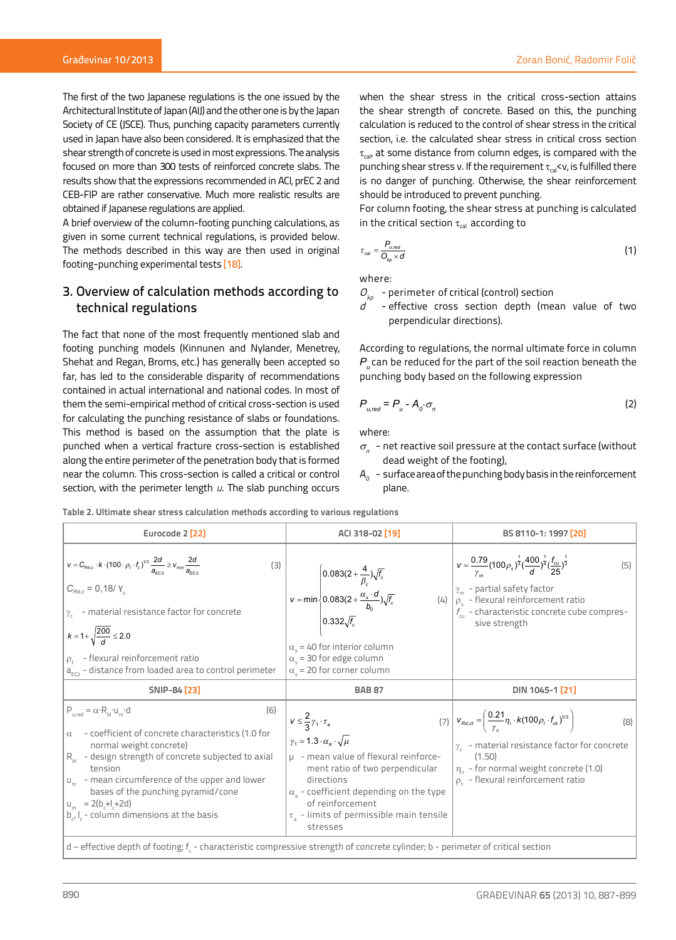The first of the two Japanese regulations is the one issued by the Architectural Institute of Japan (AIJ) and the other one is by the Japan Society of CE (JSCE). Thus, punching capacity parameters currently used in Japan have also been considered. It is emphasized that the shear strength of concrete is used in most expressions. The analysis focused on more than 300 tests of reinforced concrete slabs. The results show that the expressions recommended in ACI, prEC 2 and CEB-FIP are rather conservative. Much more realistic results are obtained if Japanese regulations are applied.

A brief overview of the column-footing punching calculations, as given in some current technical regulations, is provided below. The methods described in this way are then used in original footing-punching experimental tests [18].

# 3. Overview of calculation methods according to technical regulations

The fact that none of the most frequently mentioned slab and footing punching models (Kinnunen and Nylander, Menetrey, Shehat and Regan, Broms, etc.) has generally been accepted so far, has led to the considerable disparity of recommendations contained in actual international and national codes. In most of them the semi-empirical method of critical cross-section is used for calculating the punching resistance of slabs or foundations. This method is based on the assumption that the plate is punched when a vertical fracture cross-section is established along the entire perimeter of the penetration body that is formed near the column. This cross-section is called a critical or control section, with the perimeter length *u*. The slab punching occurs when the shear stress in the critical cross-section attains the shear strength of concrete. Based on this, the punching calculation is reduced to the control of shear stress in the critical section, i.e. the calculated shear stress in critical cross section  $\tau_{\text{cal}}$  at some distance from column edges, is compared with the punching shear stress v. If the requirement  $\tau_{\text{ca}}$ sv, is fulfilled there is no danger of punching. Otherwise, the shear reinforcement should be introduced to prevent punching.

For column footing, the shear stress at punching is calculated in the critical section  $\tau_{cal}$  according to

$$
\tau_{\text{cal}} = \frac{P_{u,\text{rod}}}{O_{k\rho} \times d} \tag{1}
$$

where:

 $O_{k\rho}$  - perimeter of critical (control) section

- effective cross section depth (mean value of two perpendicular directions).

According to regulations, the normal ultimate force in column *P*<sub>*u*</sub> can be reduced for the part of the soil reaction beneath the punching body based on the following expression

$$
P_{u,red} = P_u - A_o \cdot \sigma_n \tag{2}
$$

where:

- $\sigma_{\eta}$  net reactive soil pressure at the contact surface (without dead weight of the footing),
- $A_{0}$  surface area of the punching body basis in the reinforcement plane.

**Table 2. Ultimate shear stress calculation methods according to various regulations**

| $V = \frac{0.79}{\gamma_m} (100 \rho_s)^{\frac{1}{3}} (\frac{400}{d})^{\frac{1}{4}} (\frac{f_{cu}}{25})^{\frac{1}{3}}$<br>$v = C_{Rd,c} \cdot k \cdot (100 \cdot \rho_t \cdot f_c)^{1/3} \frac{2d}{a_{\text{reco}}} \geq v_{\text{min}} \frac{2d}{a_{\text{reco}}}$<br>$v = min \begin{cases} 0.083(2 + \frac{4}{\beta_c})\sqrt{f_c} \\ 0.083(2 + \frac{\alpha_s \cdot d}{b_0})\sqrt{f_c} \\ 0.332\sqrt{f_c} \end{cases}$<br>$C_{Rd,c} = 0,18/ \gamma_c$<br>$\gamma_{\rm m}$ - partial safety factor<br>(4) $\rho_{\rm s}$ - flexural reinforcement ratio<br>$f_{\alpha\beta}$ - characteristic concrete cube compres-<br>$\gamma_c$ - material resistance factor for concrete<br>sive strength<br>$k = 1 + \sqrt{\frac{200}{d}} \le 2.0$<br>$\alpha_{\rm c}$ = 40 for interior column<br>$\alpha_{\rm s}$ = 30 for edge column<br>$\rho_{t}$ - flexural reinforcement ratio<br>a <sub>EC2</sub> - distance from loaded area to control perimeter<br>$\alpha_{s}$ = 20 for corner column<br>SNIP-84 [23]<br>DIN 1045-1 <sup>[21]</sup><br><b>BAB 87</b><br>$P_{u,red} = \alpha \cdot R_{bl} \cdot u_m \cdot d$<br>(6)<br>(7) $\mathbf{v}_{Rd,ct} = \left(\frac{0.21}{\gamma_0}\eta_i \cdot k(100\rho_i \cdot f_{ck})^{1/3}\right)$<br>$V \leq \frac{2}{3}\gamma_1 \cdot \tau_a$<br>- coefficient of concrete characteristics (1.0 for<br>$\alpha$<br>$\gamma_1 = 1.3 \cdot \alpha_s \cdot \sqrt{\mu}$<br>$\gamma_c$ - material resistance factor for concrete<br>normal weight concrete)<br>$R_{h}$ - design strength of concrete subjected to axial<br>$\mu$ - mean value of flexural reinforce-<br>(1.50) |  |
|-------------------------------------------------------------------------------------------------------------------------------------------------------------------------------------------------------------------------------------------------------------------------------------------------------------------------------------------------------------------------------------------------------------------------------------------------------------------------------------------------------------------------------------------------------------------------------------------------------------------------------------------------------------------------------------------------------------------------------------------------------------------------------------------------------------------------------------------------------------------------------------------------------------------------------------------------------------------------------------------------------------------------------------------------------------------------------------------------------------------------------------------------------------------------------------------------------------------------------------------------------------------------------------------------------------------------------------------------------------------------------------------------------------------------------------------------------------------------------------------------------------------------------------------------------------------------------------------------------------|--|
|                                                                                                                                                                                                                                                                                                                                                                                                                                                                                                                                                                                                                                                                                                                                                                                                                                                                                                                                                                                                                                                                                                                                                                                                                                                                                                                                                                                                                                                                                                                                                                                                             |  |
|                                                                                                                                                                                                                                                                                                                                                                                                                                                                                                                                                                                                                                                                                                                                                                                                                                                                                                                                                                                                                                                                                                                                                                                                                                                                                                                                                                                                                                                                                                                                                                                                             |  |
| ment ratio of two perpendicular<br>$\eta_1$ - for normal weight concrete (1.0)<br>tension<br>$u_m$ - mean circumference of the upper and lower<br>$\rho_t$ - flexural reinforcement ratio<br>directions<br>bases of the punching pyramid/cone<br>$\alpha_{s}$ - coefficient depending on the type<br>of reinforcement<br>$u_{m}$ = 2(b <sub>r</sub> +l <sub>r</sub> +2d)<br>$b_{r}$ , $l_{r}$ - column dimensions at the basis<br>$\tau_{a}$ - limits of permissible main tensile<br>stresses                                                                                                                                                                                                                                                                                                                                                                                                                                                                                                                                                                                                                                                                                                                                                                                                                                                                                                                                                                                                                                                                                                               |  |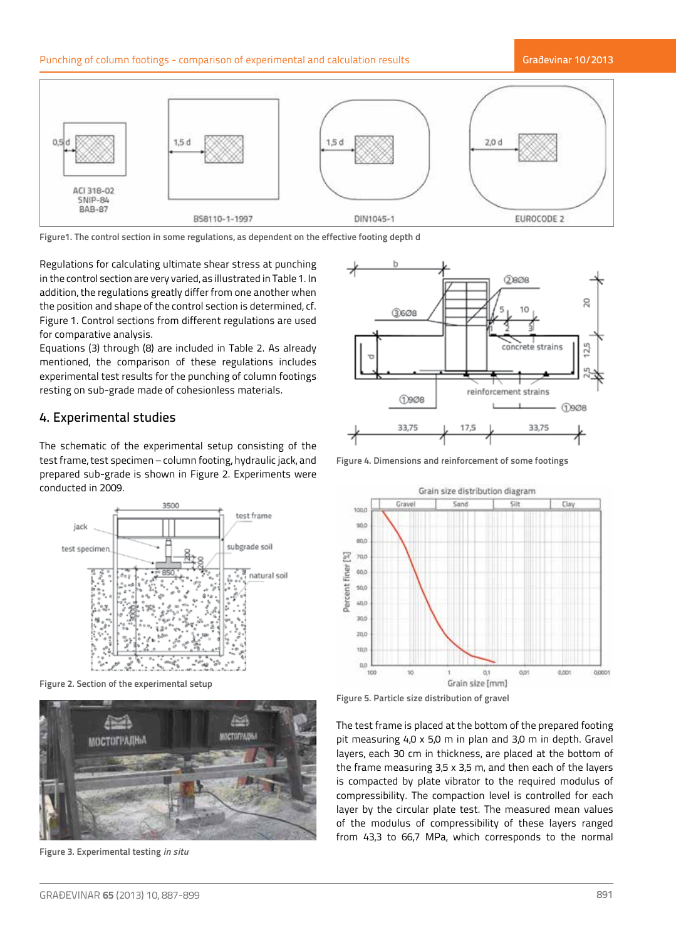# Punching of column footings - comparison of experimental and calculation results

### Građevinar 10/2013



**Figure1. The control section in some regulations, as dependent on the effective footing depth d**

Regulations for calculating ultimate shear stress at punching in the control section are very varied, as illustrated in Table 1. In addition, the regulations greatly differ from one another when the position and shape of the control section is determined, cf. Figure 1. Control sections from different regulations are used for comparative analysis.

Equations (3) through (8) are included in Table 2. As already mentioned, the comparison of these regulations includes experimental test results for the punching of column footings resting on sub-grade made of cohesionless materials.

# 4. Experimental studies

The schematic of the experimental setup consisting of the test frame, test specimen – column footing, hydraulic jack, and prepared sub-grade is shown in Figure 2. Experiments were conducted in 2009.



**Figure 2. Section of the experimental setup** 



**Figure 3. Experimental testing** *in situ*



**Figure 4. Dimensions and reinforcement of some footings**



**Figure 5. Particle size distribution of gravel**

The test frame is placed at the bottom of the prepared footing pit measuring 4,0 x 5,0 m in plan and 3,0 m in depth. Gravel layers, each 30 cm in thickness, are placed at the bottom of the frame measuring 3,5 x 3,5 m, and then each of the layers is compacted by plate vibrator to the required modulus of compressibility. The compaction level is controlled for each layer by the circular plate test. The measured mean values of the modulus of compressibility of these layers ranged from 43,3 to 66,7 MPa, which corresponds to the normal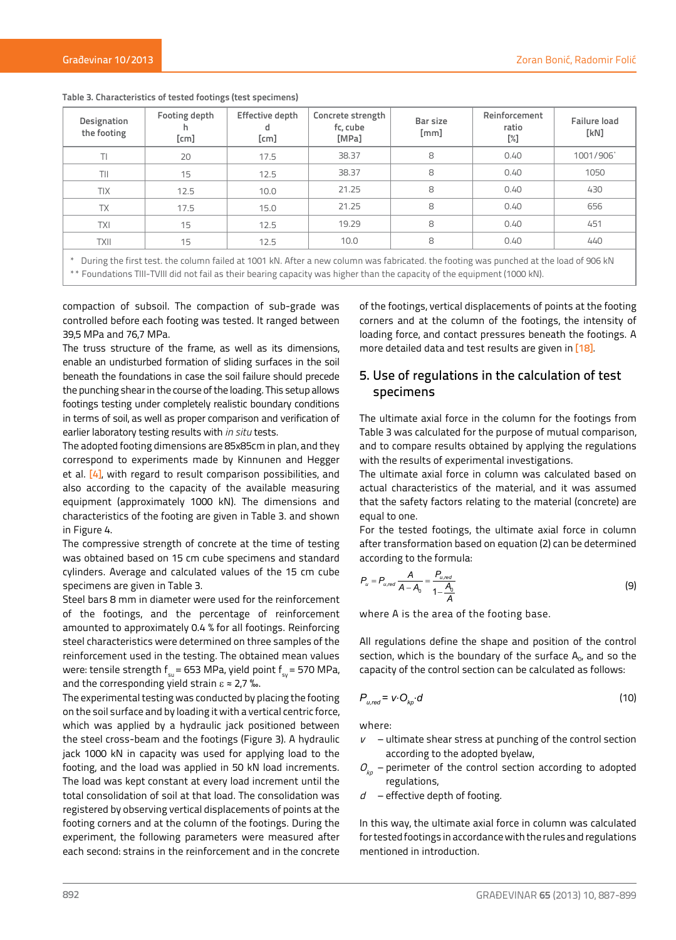| Designation<br>the footing | Footing depth<br>[cm] | Effective depth<br>d<br>[cm] | Concrete strength<br>fc, cube<br>[MPa] | Bar size<br>[mm] | Reinforcement<br>ratio<br>[%] | <b>Failure load</b><br>[KN] |
|----------------------------|-----------------------|------------------------------|----------------------------------------|------------------|-------------------------------|-----------------------------|
| TI                         | 20                    | 17.5                         | 38.37                                  | 8                | 0.40                          | 1001/906                    |
| TII                        | 15                    | 12.5                         | 38.37                                  | 8                | 0.40                          | 1050                        |
| <b>TIX</b>                 | 12.5                  | 10.0                         | 21.25                                  | 8                | 0.40                          | 430                         |
| <b>TX</b>                  | 17.5                  | 15.0                         | 21.25                                  | 8                | 0.40                          | 656                         |
| <b>TXI</b>                 | 15                    | 12.5                         | 19.29                                  | 8                | 0.40                          | 451                         |
| <b>TXII</b>                | 15                    | 12.5                         | 10.0                                   | 8                | 0.40                          | 440                         |

**Table 3. Characteristics of tested footings (test specimens)**

\* During the first test. the column failed at 1001 kN. After a new column was fabricated. the footing was punched at the load of 906 kN \*\* Foundations TIII-TVIII did not fail as their bearing capacity was higher than the capacity of the equipment (1000 kN).

compaction of subsoil. The compaction of sub-grade was controlled before each footing was tested. It ranged between 39,5 MPa and 76,7 MPa.

The truss structure of the frame, as well as its dimensions, enable an undisturbed formation of sliding surfaces in the soil beneath the foundations in case the soil failure should precede the punching shear in the course of the loading. This setup allows footings testing under completely realistic boundary conditions in terms of soil, as well as proper comparison and verification of earlier laboratory testing results with *in situ* tests.

The adopted footing dimensions are 85x85cm in plan, and they correspond to experiments made by Kinnunen and Hegger et al. [4], with regard to result comparison possibilities, and also according to the capacity of the available measuring equipment (approximately 1000 kN). The dimensions and characteristics of the footing are given in Table 3. and shown in Figure 4.

The compressive strength of concrete at the time of testing was obtained based on 15 cm cube specimens and standard cylinders. Average and calculated values of the 15 cm cube specimens are given in Table 3.

Steel bars 8 mm in diameter were used for the reinforcement of the footings, and the percentage of reinforcement amounted to approximately 0.4 % for all footings. Reinforcing steel characteristics were determined on three samples of the reinforcement used in the testing. The obtained mean values were: tensile strength  $f_{\text{cm}}$  = 653 MPa, yield point  $f_{\text{cm}}$  = 570 MPa, and the corresponding yield strain  $\varepsilon \approx 2.7$  ‰.

The experimental testing was conducted by placing the footing on the soil surface and by loading it with a vertical centric force, which was applied by a hydraulic jack positioned between the steel cross-beam and the footings (Figure 3). A hydraulic jack 1000 kN in capacity was used for applying load to the footing, and the load was applied in 50 kN load increments. The load was kept constant at every load increment until the total consolidation of soil at that load. The consolidation was registered by observing vertical displacements of points at the footing corners and at the column of the footings. During the experiment, the following parameters were measured after each second: strains in the reinforcement and in the concrete

of the footings, vertical displacements of points at the footing corners and at the column of the footings, the intensity of loading force, and contact pressures beneath the footings. A more detailed data and test results are given in [18].

# 5. Use of regulations in the calculation of test specimens

The ultimate axial force in the column for the footings from Table 3 was calculated for the purpose of mutual comparison, and to compare results obtained by applying the regulations with the results of experimental investigations.

The ultimate axial force in column was calculated based on actual characteristics of the material, and it was assumed that the safety factors relating to the material (concrete) are equal to one.

For the tested footings, the ultimate axial force in column after transformation based on equation (2) can be determined according to the formula:

$$
P_u = P_{u,red} \frac{A}{A - A_0} = \frac{P_{u,red}}{1 - \frac{A_0}{A}}
$$
(9)

where A is the area of the footing base.

All regulations define the shape and position of the control section, which is the boundary of the surface  $A_{0}$ , and so the capacity of the control section can be calculated as follows:

$$
P_{u,red} = v \cdot O_{k\rho} \cdot d \tag{10}
$$

where:

- $v -$ ultimate shear stress at punching of the control section according to the adopted byelaw,
- $O_{k_p}$  perimeter of the control section according to adopted regulations,
- $d$  effective depth of footing.

In this way, the ultimate axial force in column was calculated for tested footings in accordance with the rules and regulations mentioned in introduction.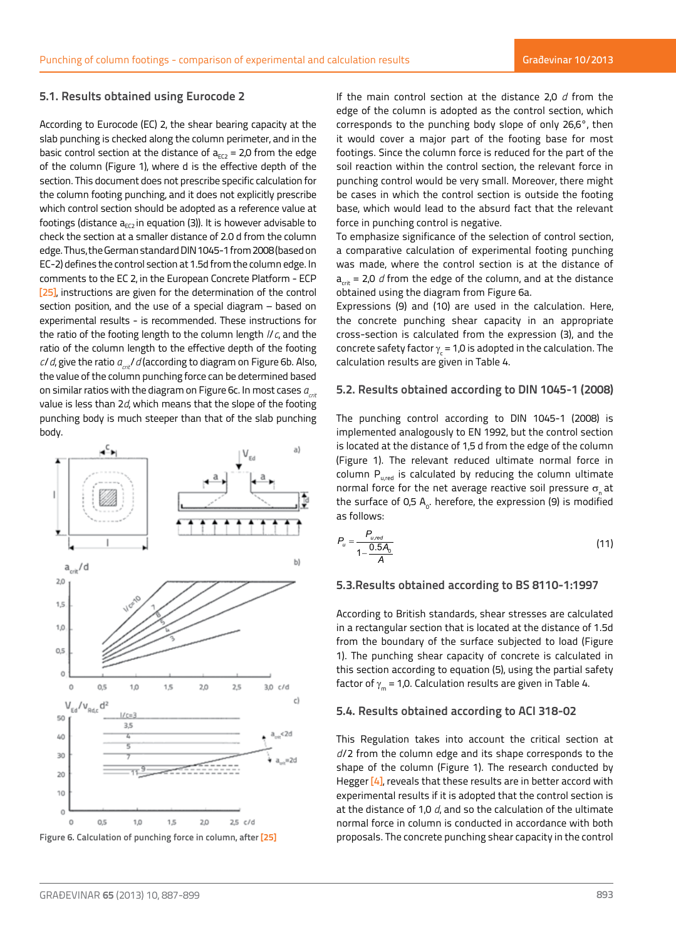### **5.1. Results obtained using Eurocode 2**

According to Eurocode (EC) 2, the shear bearing capacity at the slab punching is checked along the column perimeter, and in the basic control section at the distance of  $a_{FC2} = 2.0$  from the edge of the column (Figure 1), where d is the effective depth of the section. This document does not prescribe specific calculation for the column footing punching, and it does not explicitly prescribe which control section should be adopted as a reference value at footings (distance  $a_{FC}$  in equation (3)). It is however advisable to check the section at a smaller distance of 2.0 d from the column edge. Thus, the German standard DIN 1045-1 from 2008 (based on EC-2) defines the control section at 1.5d from the column edge. In comments to the EC 2, in the European Concrete Platform - ECP [25], instructions are given for the determination of the control section position, and the use of a special diagram – based on experimental results - is recommended. These instructions for the ratio of the footing length to the column length *l*/*c*, and the ratio of the column length to the effective depth of the footing *c/d*, give the ratio  $a_{\text{cat}}$ /*d* (according to diagram on Figure 6b. Also, the value of the column punching force can be determined based on similar ratios with the diagram on Figure 6c. In most cases  $a_{\text{crit}}$ value is less than 2*d*, which means that the slope of the footing punching body is much steeper than that of the slab punching body.



**Figure 6. Calculation of punching force in column, after [25]** 

If the main control section at the distance 2,0 *d* from the edge of the column is adopted as the control section, which corresponds to the punching body slope of only 26,6°, then it would cover a major part of the footing base for most footings. Since the column force is reduced for the part of the soil reaction within the control section, the relevant force in punching control would be very small. Moreover, there might be cases in which the control section is outside the footing base, which would lead to the absurd fact that the relevant force in punching control is negative.

To emphasize significance of the selection of control section, a comparative calculation of experimental footing punching was made, where the control section is at the distance of  $a_{\text{crit}}$  = 2,0 *d* from the edge of the column, and at the distance obtained using the diagram from Figure 6a.

Expressions (9) and (10) are used in the calculation. Here, the concrete punching shear capacity in an appropriate cross-section is calculated from the expression (3), and the concrete safety factor  $\gamma_{\rm c}$  = 1,0 is adopted in the calculation. The calculation results are given in Table 4.

### **5.2. Results obtained according to DIN 1045-1 (2008)**

The punching control according to DIN 1045-1 (2008) is implemented analogously to EN 1992, but the control section is located at the distance of 1,5 d from the edge of the column (Figure 1). The relevant reduced ultimate normal force in column  $P_{u,red}$  is calculated by reducing the column ultimate normal force for the net average reactive soil pressure  $\sigma_{\rm s}$  at the surface of 0,5  $\mathsf{A_o}.$  herefore, the expression (9) is modified as follows:

$$
P_u = \frac{P_{u,red}}{1 - \frac{0.5A_0}{A}}
$$
 (11)

### **5.3.Results obtained according to BS 8110-1:1997**

According to British standards, shear stresses are calculated in a rectangular section that is located at the distance of 1.5d from the boundary of the surface subjected to load (Figure 1). The punching shear capacity of concrete is calculated in this section according to equation (5), using the partial safety factor of  $\gamma_m = 1.0$ . Calculation results are given in Table 4.

#### **5.4. Results obtained according to ACI 318-02**

This Regulation takes into account the critical section at *d*/2 from the column edge and its shape corresponds to the shape of the column (Figure 1). The research conducted by Hegger [4], reveals that these results are in better accord with experimental results if it is adopted that the control section is at the distance of 1,0 *d*, and so the calculation of the ultimate normal force in column is conducted in accordance with both proposals. The concrete punching shear capacity in the control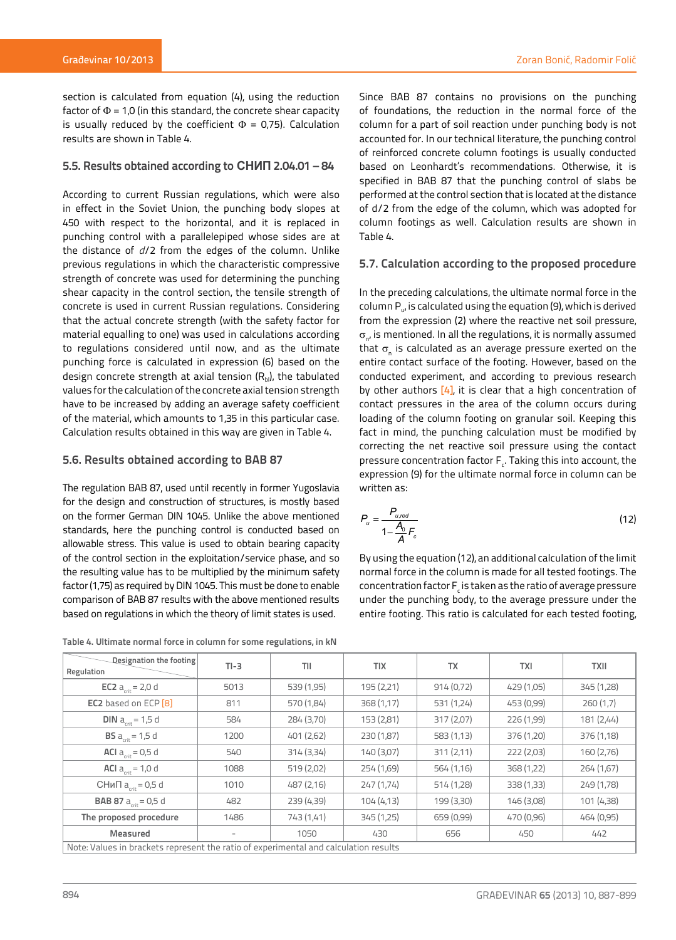section is calculated from equation (4), using the reduction factor of  $\Phi$  = 1,0 (in this standard, the concrete shear capacity is usually reduced by the coefficient  $\Phi = 0.75$ ). Calculation results are shown in Table 4.

### **5.5. Results obtained according to СНИП 2.04.01 – 84**

According to current Russian regulations, which were also in effect in the Soviet Union, the punching body slopes at 450 with respect to the horizontal, and it is replaced in punching control with a parallelepiped whose sides are at the distance of *d*/2 from the edges of the column. Unlike previous regulations in which the characteristic compressive strength of concrete was used for determining the punching shear capacity in the control section, the tensile strength of concrete is used in current Russian regulations. Considering that the actual concrete strength (with the safety factor for material equalling to one) was used in calculations according to regulations considered until now, and as the ultimate punching force is calculated in expression (6) based on the design concrete strength at axial tension  $(R_{\text{bl}})$ , the tabulated values for the calculation of the concrete axial tension strength have to be increased by adding an average safety coefficient of the material, which amounts to 1,35 in this particular case. Calculation results obtained in this way are given in Table 4.

### **5.6. Results obtained according to BAB 87**

The regulation BAB 87, used until recently in former Yugoslavia for the design and construction of structures, is mostly based on the former German DIN 1045. Unlike the above mentioned standards, here the punching control is conducted based on allowable stress. This value is used to obtain bearing capacity of the control section in the exploitation/service phase, and so the resulting value has to be multiplied by the minimum safety factor (1,75) as required by DIN 1045. This must be done to enable comparison of BAB 87 results with the above mentioned results based on regulations in which the theory of limit states is used.

**Table 4. Ultimate normal force in column for some regulations, in kN**

Since BAB 87 contains no provisions on the punching of foundations, the reduction in the normal force of the column for a part of soil reaction under punching body is not accounted for. In our technical literature, the punching control of reinforced concrete column footings is usually conducted based on Leonhardt's recommendations. Otherwise, it is specified in BAB 87 that the punching control of slabs be performed at the control section that is located at the distance of d/2 from the edge of the column, which was adopted for column footings as well. Calculation results are shown in Table 4.

# **5.7. Calculation according to the proposed procedure**

In the preceding calculations, the ultimate normal force in the column Pu, is calculated using the equation (9), which is derived from the expression (2) where the reactive net soil pressure,  $\sigma_{\scriptscriptstyle \rm n'}$  is mentioned. In all the regulations, it is normally assumed that  $\sigma_{\text{n}}$  is calculated as an average pressure exerted on the entire contact surface of the footing. However, based on the conducted experiment, and according to previous research by other authors  $[4]$ , it is clear that a high concentration of contact pressures in the area of the column occurs during loading of the column footing on granular soil. Keeping this fact in mind, the punching calculation must be modified by correcting the net reactive soil pressure using the contact pressure concentration factor  $F_c$ . Taking this into account, the expression (9) for the ultimate normal force in column can be written as:

$$
P_u = \frac{P_{u,red}}{1 - \frac{A_0}{A} F_c}
$$
 (12)

By using the equation (12), an additional calculation of the limit normal force in the column is made for all tested footings. The concentration factor  $\mathsf{F}_{\epsilon}$  is taken as the ratio of average pressure under the punching body, to the average pressure under the entire footing. This ratio is calculated for each tested footing,

| Designation the footing<br>Regulation                                                | $TI - 3$ | TII        | <b>TIX</b> | <b>TX</b>  | <b>TXI</b> | <b>TXII</b> |  |  |
|--------------------------------------------------------------------------------------|----------|------------|------------|------------|------------|-------------|--|--|
| <b>EC2</b> $a_{crit} = 2.0 d$                                                        | 5013     | 539 (1,95) | 195 (2,21) | 914(0,72)  | 429 (1,05) | 345 (1,28)  |  |  |
| <b>EC2</b> based on ECP [8]                                                          | 811      | 570 (1,84) | 368(1,17)  | 531 (1,24) | 453 (0,99) | 260(1,7)    |  |  |
| <b>DIN</b> $a_{crit} = 1.5 d$                                                        | 584      | 284 (3,70) | 153 (2,81) | 317(2,07)  | 226 (1,99) | 181 (2,44)  |  |  |
| <b>BS</b> $a_{crit} = 1.5 d$                                                         | 1200     | 401 (2,62) | 230 (1,87) | 583(1,13)  | 376 (1,20) | 376 (1,18)  |  |  |
| <b>ACI</b> $a_{crit} = 0.5 d$                                                        | 540      | 314 (3,34) | 140(3,07)  | 311(2,11)  | 222 (2,03) | 160 (2,76)  |  |  |
| <b>ACI</b> $a_{crit} = 1.0 d$                                                        | 1088     | 519 (2,02) | 254 (1,69) | 564 (1,16) | 368 (1,22) | 264 (1,67)  |  |  |
| СНиП $a_{\text{crit}}$ = 0,5 d                                                       | 1010     | 487 (2,16) | 247(1,74)  | 514 (1,28) | 338 (1,33) | 249 (1,78)  |  |  |
| <b>BAB 87</b> $a_{crit} = 0.5 d$                                                     | 482      | 239(4,39)  | 104(4,13)  | 199 (3,30) | 146 (3,08) | 101 (4,38)  |  |  |
| The proposed procedure                                                               | 1486     | 743 (1,41) | 345(1,25)  | 659 (0,99) | 470 (0,96) | 464 (0,95)  |  |  |
| Measured                                                                             | -        | 1050       | 430        | 656        | 450        | 442         |  |  |
| Note: Values in brackets represent the ratio of experimental and calculation results |          |            |            |            |            |             |  |  |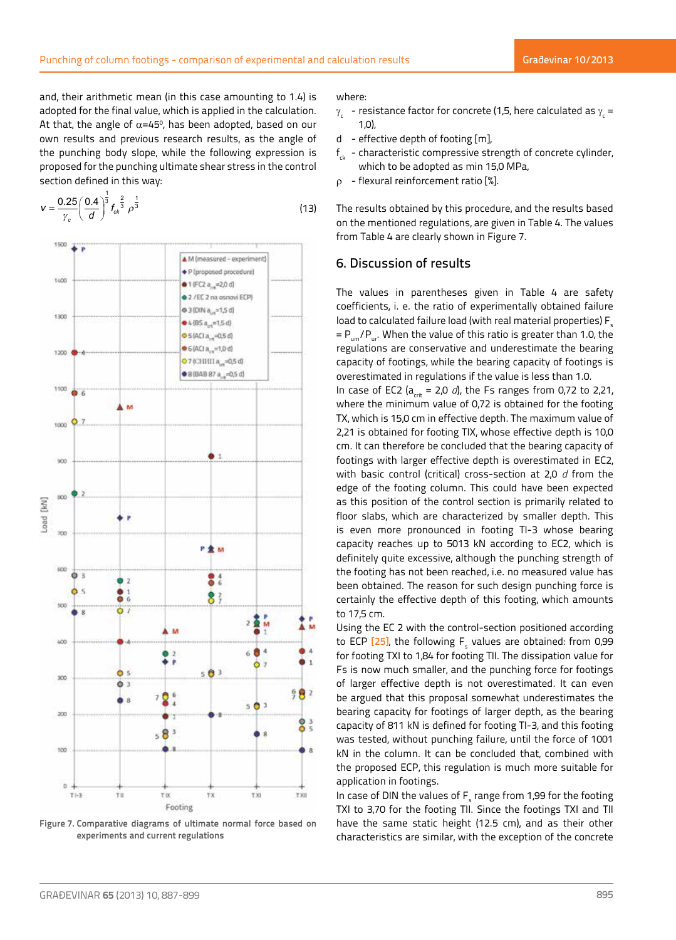and, their arithmetic mean (in this case amounting to 1.4) is adopted for the final value, which is applied in the calculation. At that, the angle of  $\alpha$ =45°, has been adopted, based on our own results and previous research results, as the angle of the punching body slope, while the following expression is proposed for the punching ultimate shear stress in the control section defined in this way:

$$
v = \frac{0.25}{\gamma_c} \left(\frac{0.4}{d}\right)^{\frac{1}{3}} f_{ck}^{\frac{2}{3}} \rho^{\frac{1}{3}}
$$
 (13)



**Figure 7. Comparative diagrams of ultimate normal force based on experiments and current regulations**

#### where:

- $\gamma_{\rm c}^{}$  resistance factor for concrete (1,5, here calculated as  $\gamma_{\rm c}^{}$  = 1,0),
- d effective depth of footing [m],
- $f_{\mu}$  characteristic compressive strength of concrete cylinder, which to be adopted as min 15,0 MPa,
- $\rho$  flexural reinforcement ratio  $\lceil \% \rceil$ .

The results obtained by this procedure, and the results based on the mentioned regulations, are given in Table 4. The values from Table 4 are clearly shown in Figure 7.

# 6. Discussion of results

The values in parentheses given in Table 4 are safety coefficients, i. e. the ratio of experimentally obtained failure load to calculated failure load (with real material properties)  $F_s$  $= P_{um}/P_{ur}$ . When the value of this ratio is greater than 1.0, the regulations are conservative and underestimate the bearing capacity of footings, while the bearing capacity of footings is overestimated in regulations if the value is less than 1.0.

In case of EC2 ( $a_{crit}$  = 2,0  $d$ ), the Fs ranges from 0,72 to 2,21, where the minimum value of 0,72 is obtained for the footing TX, which is 15,0 cm in effective depth. The maximum value of 2,21 is obtained for footing TIX, whose effective depth is 10,0 cm. It can therefore be concluded that the bearing capacity of footings with larger effective depth is overestimated in EC2, with basic control (critical) cross-section at 2,0 *d* from the edge of the footing column. This could have been expected as this position of the control section is primarily related to floor slabs, which are characterized by smaller depth. This is even more pronounced in footing TI-3 whose bearing capacity reaches up to 5013 kN according to EC2, which is definitely quite excessive, although the punching strength of the footing has not been reached, i.e. no measured value has been obtained. The reason for such design punching force is certainly the effective depth of this footing, which amounts to 17,5 cm.

Using the EC 2 with the control-section positioned according to ECP [25], the following F<sub>s</sub> values are obtained: from 0,99 for footing TXI to 1,84 for footing TII. The dissipation value for Fs is now much smaller, and the punching force for footings of larger effective depth is not overestimated. It can even be argued that this proposal somewhat underestimates the bearing capacity for footings of larger depth, as the bearing capacity of 811 kN is defined for footing TI-3, and this footing was tested, without punching failure, until the force of 1001 kN in the column. It can be concluded that, combined with the proposed ECP, this regulation is much more suitable for application in footings.

In case of DIN the values of  $\mathsf{F}_\mathsf{s}$  range from 1,99 for the footing TXI to 3,70 for the footing TII. Since the footings TXI and TII have the same static height (12.5 cm), and as their other characteristics are similar, with the exception of the concrete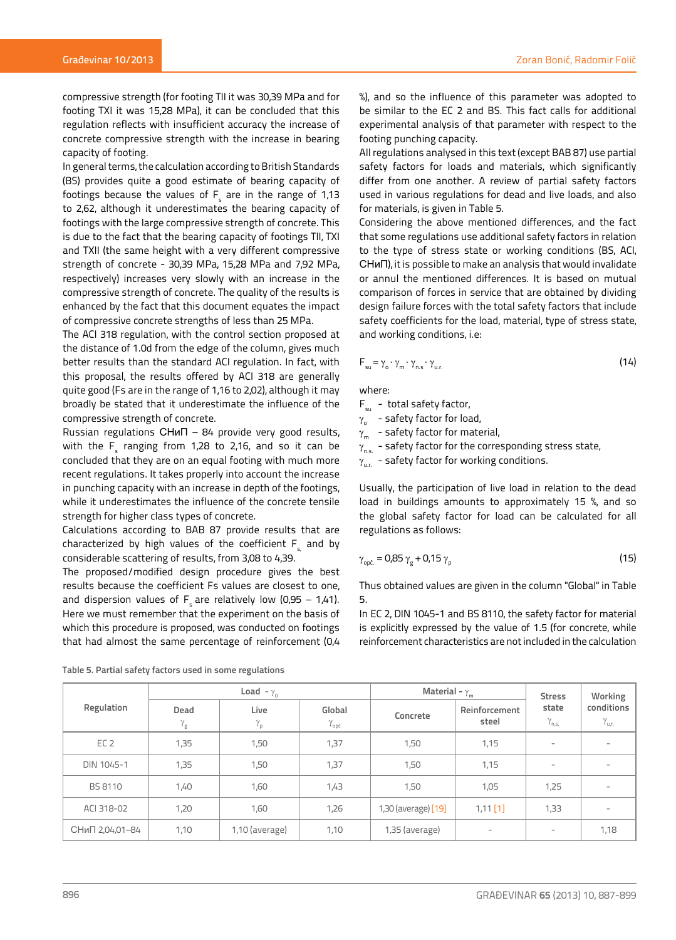compressive strength (for footing TII it was 30,39 MPa and for footing TXI it was 15,28 MPa), it can be concluded that this regulation reflects with insufficient accuracy the increase of concrete compressive strength with the increase in bearing capacity of footing.

In general terms, the calculation according to British Standards (BS) provides quite a good estimate of bearing capacity of footings because the values of  $\mathsf{F}_{\mathsf{s}}$  are in the range of 1,13 to 2,62, although it underestimates the bearing capacity of footings with the large compressive strength of concrete. This is due to the fact that the bearing capacity of footings TII, TXI and TXII (the same height with a very different compressive strength of concrete - 30,39 MPa, 15,28 MPa and 7,92 MPa, respectively) increases very slowly with an increase in the compressive strength of concrete. The quality of the results is enhanced by the fact that this document equates the impact of compressive concrete strengths of less than 25 MPa.

The ACI 318 regulation, with the control section proposed at the distance of 1.0d from the edge of the column, gives much better results than the standard ACI regulation. In fact, with this proposal, the results offered by ACI 318 are generally quite good (Fs are in the range of 1,16 to 2,02), although it may broadly be stated that it underestimate the influence of the compressive strength of concrete.

Russian regulations СНиП – 84 provide very good results, with the  $\mathsf{F}_{_\mathrm{S}}$  ranging from 1,28 to 2,16, and so it can be concluded that they are on an equal footing with much more recent regulations. It takes properly into account the increase in punching capacity with an increase in depth of the footings, while it underestimates the influence of the concrete tensile strength for higher class types of concrete.

Calculations according to BAB 87 provide results that are characterized by high values of the coefficient  $F_s$  and by considerable scattering of results, from 3,08 to 4,39.

The proposed/modified design procedure gives the best results because the coefficient Fs values are closest to one, and dispersion values of  $F<sub>s</sub>$  are relatively low (0,95 – 1,41). Here we must remember that the experiment on the basis of which this procedure is proposed, was conducted on footings that had almost the same percentage of reinforcement (0,4

%), and so the influence of this parameter was adopted to be similar to the EC 2 and BS. This fact calls for additional experimental analysis of that parameter with respect to the footing punching capacity.

All regulations analysed in this text (except BAB 87) use partial safety factors for loads and materials, which significantly differ from one another. A review of partial safety factors used in various regulations for dead and live loads, and also for materials, is given in Table 5.

Considering the above mentioned differences, and the fact that some regulations use additional safety factors in relation to the type of stress state or working conditions (BS, ACI, СНиП), it is possible to make an analysis that would invalidate or annul the mentioned differences. It is based on mutual comparison of forces in service that are obtained by dividing design failure forces with the total safety factors that include safety coefficients for the load, material, type of stress state, and working conditions, i.e:

$$
F_{su} = \gamma_{o} \cdot \gamma_{m} \cdot \gamma_{n.s} \cdot \gamma_{u.r.}
$$
 (14)

where:

- $F_{\text{cm}}$  total safety factor,
- $\gamma_{\circ}$  safety factor for load,
- $\gamma_{\rm m}$  safety factor for material,
- $\gamma_{\text{ns.}}$  safety factor for the corresponding stress state,
- $\gamma_{\text{ur}}$  safety factor for working conditions.

Usually, the participation of live load in relation to the dead load in buildings amounts to approximately 15 %, and so the global safety factor for load can be calculated for all regulations as follows:

$$
\gamma_{\text{opf.}} = 0.85 \gamma_{\text{g}} + 0.15 \gamma_{\text{p}} \tag{15}
$$

Thus obtained values are given in the column "Global" in Table 5.

In EC 2, DIN 1045-1 and BS 8110, the safety factor for material is explicitly expressed by the value of 1.5 (for concrete, while reinforcement characteristics are not included in the calculation

|                 |                                                                                                                      | Load - $\gamma_0$ |                        | Material - $\gamma_{\sf m}$ | <b>Stress</b>                     | Working                  |                          |
|-----------------|----------------------------------------------------------------------------------------------------------------------|-------------------|------------------------|-----------------------------|-----------------------------------|--------------------------|--------------------------|
| Regulation      | Live<br>Dead<br>Global<br>Concrete<br>$\gamma_{\rm p}$<br>$\gamma_{\rm g}$<br>$\gamma_{\text{op}\tilde{\mathsf{c}}}$ |                   | Reinforcement<br>steel | state<br>$\gamma_{n,s}$     | conditions<br>$\gamma_{\rm u,r.}$ |                          |                          |
| EC <sub>2</sub> | 1,35                                                                                                                 | 1,50              | 1,37                   | 1,50                        | 1,15                              | -                        | $\overline{\phantom{a}}$ |
| DIN 1045-1      | 1,35                                                                                                                 | 1,50              | 1,37                   | 1,50                        | 1,15                              | ۰                        | $\sim$                   |
| <b>BS 8110</b>  | 1,40                                                                                                                 | 1,60              | 1,43                   | 1,50                        | 1,05                              | 1,25                     | -                        |
| ACI 318-02      | 1,20                                                                                                                 | 1,60              | 1,26                   | 1,30 (average) [19]         | $1,11$ [1]                        | 1,33                     | -                        |
| СНиП 2,04,01-84 | 1,10                                                                                                                 | $1,10$ (average)  | 1,10                   | 1,35 (average)              | $\overline{\phantom{a}}$          | $\overline{\phantom{a}}$ | 1,18                     |

**Table 5. Partial safety factors used in some regulations**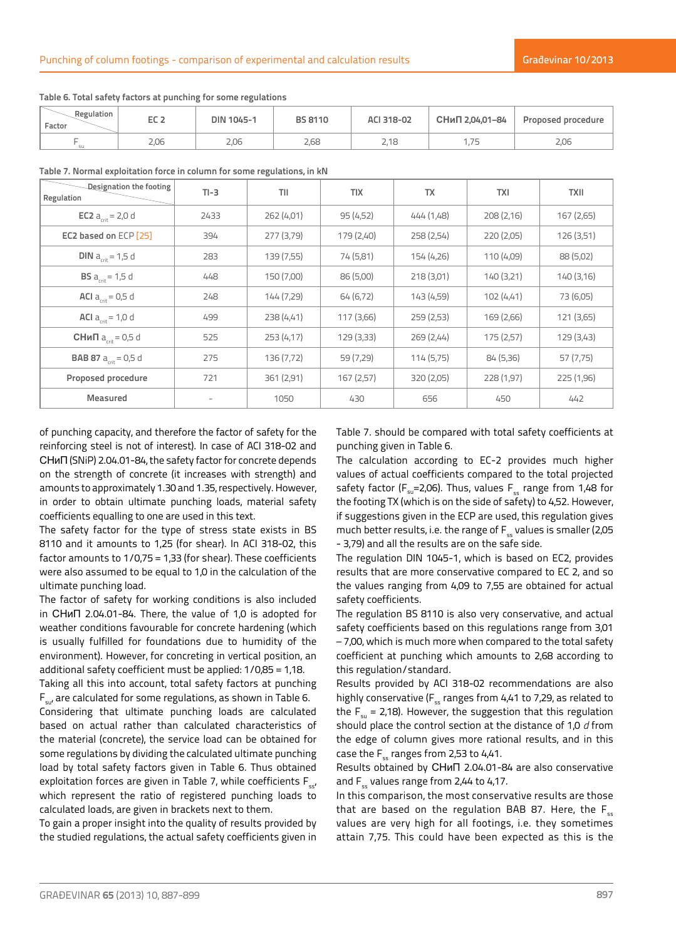| Regulation<br>Factor | ---<br>ᄄᄕᄯ            | <b>DIN 1045-1</b> | <b>BS 8110</b> | ACI 318-02 | СНиП 2,04,01-84 | Proposed procedure    |
|----------------------|-----------------------|-------------------|----------------|------------|-----------------|-----------------------|
|                      | $\cap$ $\cap$<br>Z.UU | 2.06              | 2,68           | 2,18       | フロ              | $\cap$ $\cap$<br>Z.UU |

**Table 6. Total safety factors at punching for some regulations**

|  |  | Table 7. Normal exploitation force in column for some regulations, in kN |
|--|--|--------------------------------------------------------------------------|
|--|--|--------------------------------------------------------------------------|

| Designation the footing<br>Regulation | $TI-3$ | TII        | <b>TIX</b> | <b>TX</b>  | <b>TXI</b> | <b>TXII</b> |
|---------------------------------------|--------|------------|------------|------------|------------|-------------|
| <b>EC2</b> $a_{crit} = 2.0 d$         | 2433   | 262 (4,01) | 95(4,52)   | 444 (1,48) | 208(2,16)  | 167(2,65)   |
| EC2 based on ECP [25]                 | 394    | 277 (3,79) | 179 (2,40) | 258(2,54)  | 220(2,05)  | 126(3,51)   |
| <b>DIN</b> $a_{crit} = 1.5 d$         | 283    | 139 (7,55) | 74 (5,81)  | 154 (4,26) | 110 (4,09) | 88 (5,02)   |
| <b>BS</b> $a_{crit} = 1.5 d$          | 448    | 150 (7,00) | 86 (5,00)  | 218(3,01)  | 140(3,21)  | 140(3,16)   |
| <b>ACI</b> $a_{crit} = 0.5 d$         | 248    | 144 (7,29) | 64 (6,72)  | 143 (4,59) | 102(4,41)  | 73 (6,05)   |
| <b>ACI</b> $a_{crit} = 1.0 d$         | 499    | 238 (4,41) | 117(3,66)  | 259(2,53)  | 169 (2,66) | 121 (3,65)  |
| <b>СНиП</b> $a_{crit} = 0.5 d$        | 525    | 253(4,17)  | 129(3,33)  | 269(2,44)  | 175(2,57)  | 129(3,43)   |
| <b>BAB 87</b> $a_{crit} = 0.5 d$      | 275    | 136 (7,72) | 59 (7,29)  | 114(5,75)  | 84 (5,36)  | 57 (7,75)   |
| Proposed procedure                    | 721    | 361 (2,91) | 167(2,57)  | 320 (2,05) | 228 (1,97) | 225 (1,96)  |
| <b>Measured</b>                       | -      | 1050       | 430        | 656        | 450        | 442         |

of punching capacity, and therefore the factor of safety for the reinforcing steel is not of interest). In case of ACI 318-02 and СНиП (SNiP) 2.04.01-84, the safety factor for concrete depends on the strength of concrete (it increases with strength) and amounts to approximately 1.30 and 1.35, respectively. However, in order to obtain ultimate punching loads, material safety coefficients equalling to one are used in this text.

The safety factor for the type of stress state exists in BS 8110 and it amounts to 1,25 (for shear). In ACI 318-02, this factor amounts to 1/0,75 = 1,33 (for shear). These coefficients were also assumed to be equal to 1,0 in the calculation of the ultimate punching load.

The factor of safety for working conditions is also included in СНиП 2.04.01-84. There, the value of 1,0 is adopted for weather conditions favourable for concrete hardening (which is usually fulfilled for foundations due to humidity of the environment). However, for concreting in vertical position, an additional safety coefficient must be applied: 1/0,85 = 1,18.

Taking all this into account, total safety factors at punching  $F_{sut}$  are calculated for some regulations, as shown in Table 6. Considering that ultimate punching loads are calculated based on actual rather than calculated characteristics of the material (concrete), the service load can be obtained for some regulations by dividing the calculated ultimate punching load by total safety factors given in Table 6. Thus obtained exploitation forces are given in Table 7, while coefficients  $F_{s}$ , which represent the ratio of registered punching loads to calculated loads, are given in brackets next to them.

To gain a proper insight into the quality of results provided by the studied regulations, the actual safety coefficients given in Table 7. should be compared with total safety coefficients at punching given in Table 6.

The calculation according to EC-2 provides much higher values of actual coefficients compared to the total projected safety factor ( $F_{su}$ =2,06). Thus, values  $F_{ss}$  range from 1,48 for the footing TX (which is on the side of safety) to 4,52. However, if suggestions given in the ECP are used, this regulation gives much better results, i.e. the range of  $F_{\epsilon s}$  values is smaller (2,05 - 3,79) and all the results are on the safe side.

The regulation DIN 1045-1, which is based on EC2, provides results that are more conservative compared to EC 2, and so the values ranging from 4,09 to 7,55 are obtained for actual safety coefficients.

The regulation BS 8110 is also very conservative, and actual safety coefficients based on this regulations range from 3,01 – 7,00, which is much more when compared to the total safety coefficient at punching which amounts to 2,68 according to this regulation/standard.

Results provided by ACI 318-02 recommendations are also highly conservative ( $F_s$  ranges from 4,41 to 7,29, as related to the  $F_{\mu}$  = 2,18). However, the suggestion that this regulation should place the control section at the distance of 1,0 *d* from the edge of column gives more rational results, and in this case the  $F_s$  ranges from 2,53 to 4,41.

Results obtained by СНиП 2.04.01-84 are also conservative and  $F_s$  values range from 2,44 to 4,17.

In this comparison, the most conservative results are those that are based on the regulation BAB 87. Here, the  $F_{ss}$ values are very high for all footings, i.e. they sometimes attain 7,75. This could have been expected as this is the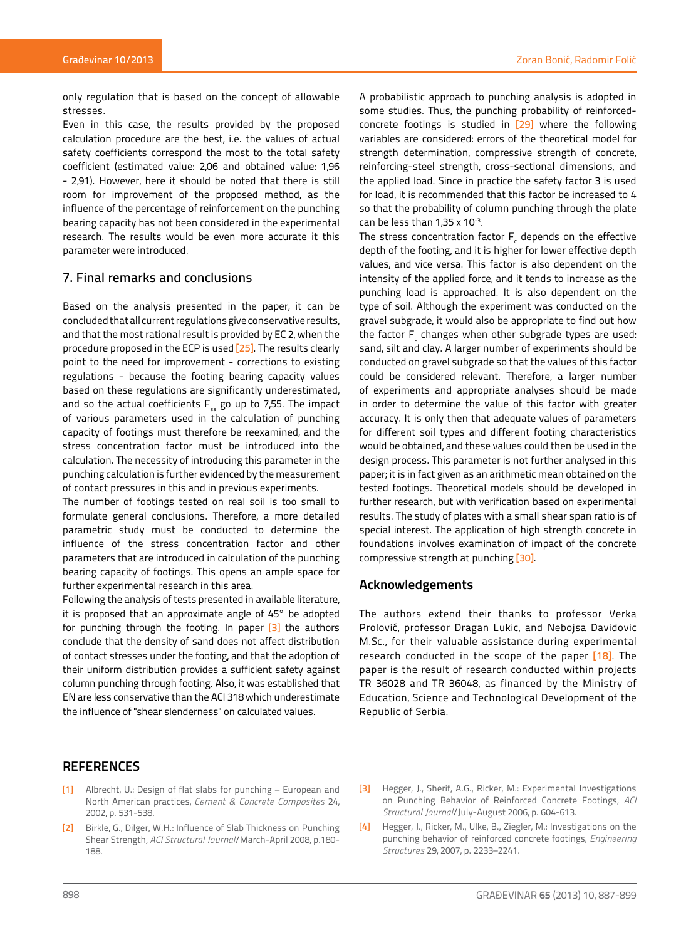only regulation that is based on the concept of allowable stresses.

Even in this case, the results provided by the proposed calculation procedure are the best, i.e. the values of actual safety coefficients correspond the most to the total safety coefficient (estimated value: 2,06 and obtained value: 1,96 - 2,91). However, here it should be noted that there is still room for improvement of the proposed method, as the influence of the percentage of reinforcement on the punching bearing capacity has not been considered in the experimental research. The results would be even more accurate it this parameter were introduced.

# 7. Final remarks and conclusions

Based on the analysis presented in the paper, it can be concluded that all current regulations give conservative results, and that the most rational result is provided by EC 2, when the procedure proposed in the ECP is used [25]. The results clearly point to the need for improvement - corrections to existing regulations - because the footing bearing capacity values based on these regulations are significantly underestimated, and so the actual coefficients  $F_{ss}$  go up to 7,55. The impact of various parameters used in the calculation of punching capacity of footings must therefore be reexamined, and the stress concentration factor must be introduced into the calculation. The necessity of introducing this parameter in the punching calculation is further evidenced by the measurement of contact pressures in this and in previous experiments.

The number of footings tested on real soil is too small to formulate general conclusions. Therefore, a more detailed parametric study must be conducted to determine the influence of the stress concentration factor and other parameters that are introduced in calculation of the punching bearing capacity of footings. This opens an ample space for further experimental research in this area.

Following the analysis of tests presented in available literature, it is proposed that an approximate angle of 45° be adopted for punching through the footing. In paper [3] the authors conclude that the density of sand does not affect distribution of contact stresses under the footing, and that the adoption of their uniform distribution provides a sufficient safety against column punching through footing. Also, it was established that EN are less conservative than the ACI 318 which underestimate the influence of "shear slenderness" on calculated values.

# **REFERENCES**

- [1] Albrecht, U.: Design of flat slabs for punching European and North American practices, *Cement & Concrete Composites* 24, 2002, p. 531-538.
- [2] Birkle, G., Dilger, W.H.: Influence of Slab Thickness on Punching Shear Strength*, ACI Structural Journal*/March-April 2008, p.180- 188.

A probabilistic approach to punching analysis is adopted in some studies. Thus, the punching probability of reinforcedconcrete footings is studied in [29] where the following variables are considered: errors of the theoretical model for strength determination, compressive strength of concrete, reinforcing-steel strength, cross-sectional dimensions, and the applied load. Since in practice the safety factor 3 is used for load, it is recommended that this factor be increased to 4 so that the probability of column punching through the plate can be less than  $1.35 \times 10^{-3}$ .

The stress concentration factor  $\mathsf{F}_{\epsilon}$  depends on the effective depth of the footing, and it is higher for lower effective depth values, and vice versa. This factor is also dependent on the intensity of the applied force, and it tends to increase as the punching load is approached. It is also dependent on the type of soil. Although the experiment was conducted on the gravel subgrade, it would also be appropriate to find out how the factor  $\mathsf{F}_{\epsilon}$  changes when other subgrade types are used: sand, silt and clay. A larger number of experiments should be conducted on gravel subgrade so that the values of this factor could be considered relevant. Therefore, a larger number of experiments and appropriate analyses should be made in order to determine the value of this factor with greater accuracy. It is only then that adequate values of parameters for different soil types and different footing characteristics would be obtained, and these values could then be used in the design process. This parameter is not further analysed in this paper; it is in fact given as an arithmetic mean obtained on the tested footings. Theoretical models should be developed in further research, but with verification based on experimental results. The study of plates with a small shear span ratio is of special interest. The application of high strength concrete in foundations involves examination of impact of the concrete compressive strength at punching [30].

# **Acknowledgements**

The authors extend their thanks to professor Verka Prolović, professor Dragan Lukic, and Nebojsa Davidovic M.Sc., for their valuable assistance during experimental research conducted in the scope of the paper [18]. The paper is the result of research conducted within projects TR 36028 and TR 36048, as financed by the Ministry of Education, Science and Technological Development of the Republic of Serbia.

- [3] Hegger, J., Sherif, A.G., Ricker, M.: Experimental Investigations on Punching Behavior of Reinforced Concrete Footings, *ACI Structural Journal*/July-August 2006, p. 604-613.
- [4] Hegger, J., Ricker, M., Ulke, B., Ziegler, M.: Investigations on the punching behavior of reinforced concrete footings, *Engineering Structures* 29, 2007, p. 2233–2241.